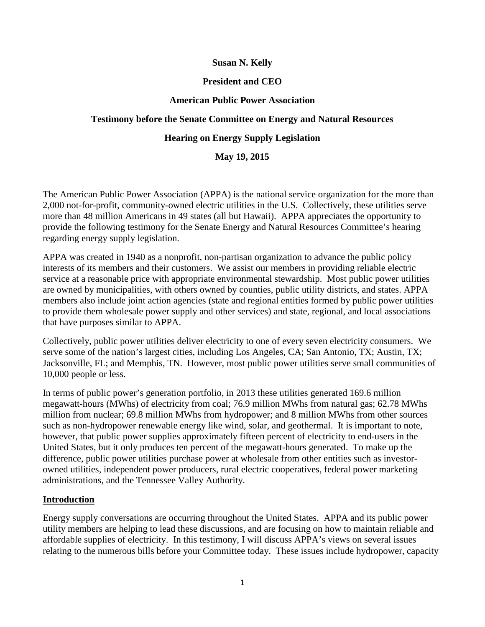#### **Susan N. Kelly**

#### **President and CEO**

#### **American Public Power Association**

## **Testimony before the Senate Committee on Energy and Natural Resources**

## **Hearing on Energy Supply Legislation**

#### **May 19, 2015**

The American Public Power Association (APPA) is the national service organization for the more than 2,000 not-for-profit, community-owned electric utilities in the U.S. Collectively, these utilities serve more than 48 million Americans in 49 states (all but Hawaii). APPA appreciates the opportunity to provide the following testimony for the Senate Energy and Natural Resources Committee's hearing regarding energy supply legislation.

APPA was created in 1940 as a nonprofit, non-partisan organization to advance the public policy interests of its members and their customers. We assist our members in providing reliable electric service at a reasonable price with appropriate environmental stewardship. Most public power utilities are owned by municipalities, with others owned by counties, public utility districts, and states. APPA members also include joint action agencies (state and regional entities formed by public power utilities to provide them wholesale power supply and other services) and state, regional, and local associations that have purposes similar to APPA.

Collectively, public power utilities deliver electricity to one of every seven electricity consumers. We serve some of the nation's largest cities, including Los Angeles, CA; San Antonio, TX; Austin, TX; Jacksonville, FL; and Memphis, TN. However, most public power utilities serve small communities of 10,000 people or less.

In terms of public power's generation portfolio, in 2013 these utilities generated 169.6 million megawatt-hours (MWhs) of electricity from coal; 76.9 million MWhs from natural gas; 62.78 MWhs million from nuclear; 69.8 million MWhs from hydropower; and 8 million MWhs from other sources such as non-hydropower renewable energy like wind, solar, and geothermal. It is important to note, however, that public power supplies approximately fifteen percent of electricity to end-users in the United States, but it only produces ten percent of the megawatt-hours generated. To make up the difference, public power utilities purchase power at wholesale from other entities such as investorowned utilities, independent power producers, rural electric cooperatives, federal power marketing administrations, and the Tennessee Valley Authority.

## **Introduction**

Energy supply conversations are occurring throughout the United States. APPA and its public power utility members are helping to lead these discussions, and are focusing on how to maintain reliable and affordable supplies of electricity. In this testimony, I will discuss APPA's views on several issues relating to the numerous bills before your Committee today. These issues include hydropower, capacity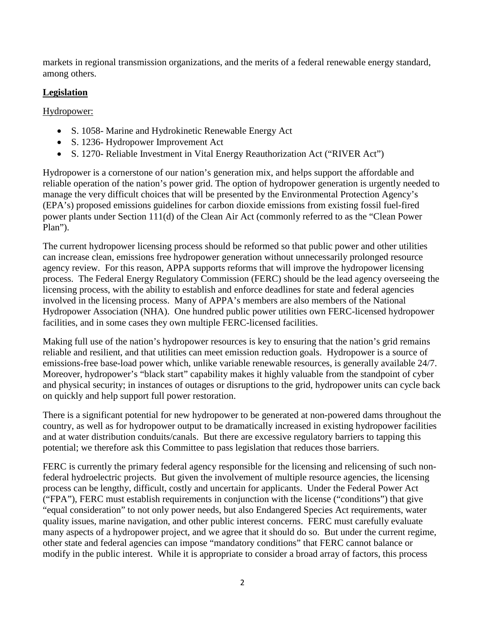markets in regional transmission organizations, and the merits of a federal renewable energy standard, among others.

## **Legislation**

Hydropower:

- S. 1058- Marine and Hydrokinetic Renewable Energy Act
- S. 1236- Hydropower Improvement Act
- S. 1270- Reliable Investment in Vital Energy Reauthorization Act ("RIVER Act")

Hydropower is a cornerstone of our nation's generation mix, and helps support the affordable and reliable operation of the nation's power grid. The option of hydropower generation is urgently needed to manage the very difficult choices that will be presented by the Environmental Protection Agency's (EPA's) proposed emissions guidelines for carbon dioxide emissions from existing fossil fuel-fired power plants under Section 111(d) of the Clean Air Act (commonly referred to as the "Clean Power Plan").

The current hydropower licensing process should be reformed so that public power and other utilities can increase clean, emissions free hydropower generation without unnecessarily prolonged resource agency review. For this reason, APPA supports reforms that will improve the hydropower licensing process. The Federal Energy Regulatory Commission (FERC) should be the lead agency overseeing the licensing process, with the ability to establish and enforce deadlines for state and federal agencies involved in the licensing process. Many of APPA's members are also members of the National Hydropower Association (NHA). One hundred public power utilities own FERC-licensed hydropower facilities, and in some cases they own multiple FERC-licensed facilities.

Making full use of the nation's hydropower resources is key to ensuring that the nation's grid remains reliable and resilient, and that utilities can meet emission reduction goals. Hydropower is a source of emissions-free base-load power which, unlike variable renewable resources, is generally available 24/7. Moreover, hydropower's "black start" capability makes it highly valuable from the standpoint of cyber and physical security; in instances of outages or disruptions to the grid, hydropower units can cycle back on quickly and help support full power restoration.

There is a significant potential for new hydropower to be generated at non-powered dams throughout the country, as well as for hydropower output to be dramatically increased in existing hydropower facilities and at water distribution conduits/canals. But there are excessive regulatory barriers to tapping this potential; we therefore ask this Committee to pass legislation that reduces those barriers.

FERC is currently the primary federal agency responsible for the licensing and relicensing of such nonfederal hydroelectric projects. But given the involvement of multiple resource agencies, the licensing process can be lengthy, difficult, costly and uncertain for applicants. Under the Federal Power Act ("FPA"), FERC must establish requirements in conjunction with the license ("conditions") that give "equal consideration" to not only power needs, but also Endangered Species Act requirements, water quality issues, marine navigation, and other public interest concerns. FERC must carefully evaluate many aspects of a hydropower project, and we agree that it should do so. But under the current regime, other state and federal agencies can impose "mandatory conditions" that FERC cannot balance or modify in the public interest. While it is appropriate to consider a broad array of factors, this process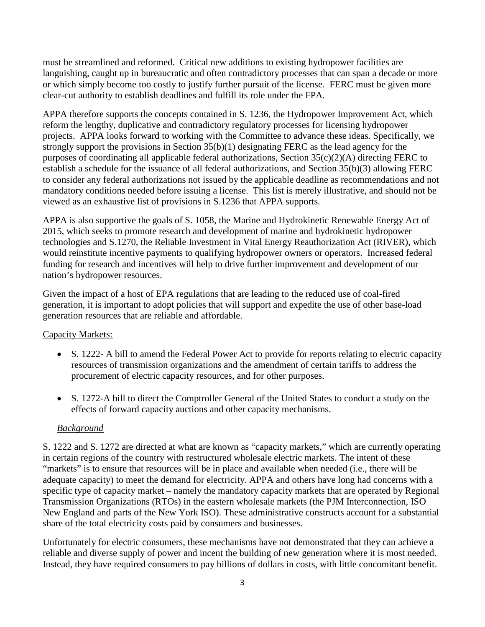must be streamlined and reformed. Critical new additions to existing hydropower facilities are languishing, caught up in bureaucratic and often contradictory processes that can span a decade or more or which simply become too costly to justify further pursuit of the license. FERC must be given more clear-cut authority to establish deadlines and fulfill its role under the FPA.

APPA therefore supports the concepts contained in S. 1236, the Hydropower Improvement Act, which reform the lengthy, duplicative and contradictory regulatory processes for licensing hydropower projects. APPA looks forward to working with the Committee to advance these ideas. Specifically, we strongly support the provisions in Section 35(b)(1) designating FERC as the lead agency for the purposes of coordinating all applicable federal authorizations, Section 35(c)(2)(A) directing FERC to establish a schedule for the issuance of all federal authorizations, and Section 35(b)(3) allowing FERC to consider any federal authorizations not issued by the applicable deadline as recommendations and not mandatory conditions needed before issuing a license. This list is merely illustrative, and should not be viewed as an exhaustive list of provisions in S.1236 that APPA supports.

APPA is also supportive the goals of S. 1058, the Marine and Hydrokinetic Renewable Energy Act of 2015, which seeks to promote research and development of marine and hydrokinetic hydropower technologies and S.1270, the Reliable Investment in Vital Energy Reauthorization Act (RIVER), which would reinstitute incentive payments to qualifying hydropower owners or operators. Increased federal funding for research and incentives will help to drive further improvement and development of our nation's hydropower resources.

Given the impact of a host of EPA regulations that are leading to the reduced use of coal-fired generation, it is important to adopt policies that will support and expedite the use of other base-load generation resources that are reliable and affordable.

# Capacity Markets:

- S. 1222- A bill to amend the Federal Power Act to provide for reports relating to electric capacity resources of transmission organizations and the amendment of certain tariffs to address the procurement of electric capacity resources, and for other purposes.
- S. 1272-A bill to direct the Comptroller General of the United States to conduct a study on the effects of forward capacity auctions and other capacity mechanisms.

# *Background*

S. 1222 and S. 1272 are directed at what are known as "capacity markets," which are currently operating in certain regions of the country with restructured wholesale electric markets. The intent of these "markets" is to ensure that resources will be in place and available when needed (i.e., there will be adequate capacity) to meet the demand for electricity. APPA and others have long had concerns with a specific type of capacity market – namely the mandatory capacity markets that are operated by Regional Transmission Organizations (RTOs) in the eastern wholesale markets (the PJM Interconnection, ISO New England and parts of the New York ISO). These administrative constructs account for a substantial share of the total electricity costs paid by consumers and businesses.

Unfortunately for electric consumers, these mechanisms have not demonstrated that they can achieve a reliable and diverse supply of power and incent the building of new generation where it is most needed. Instead, they have required consumers to pay billions of dollars in costs, with little concomitant benefit.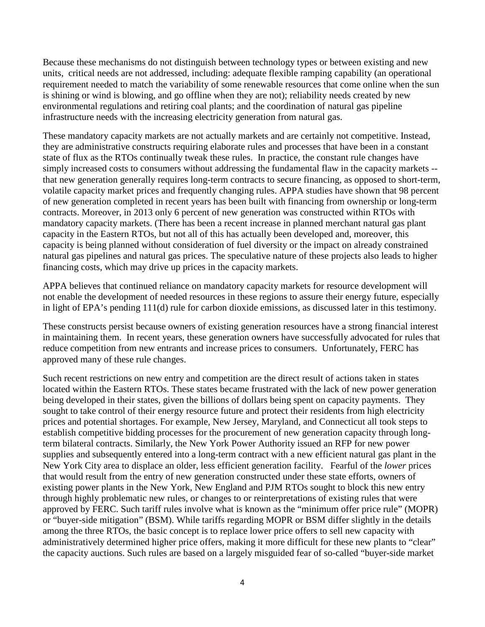Because these mechanisms do not distinguish between technology types or between existing and new units, critical needs are not addressed, including: adequate flexible ramping capability (an operational requirement needed to match the variability of some renewable resources that come online when the sun is shining or wind is blowing, and go offline when they are not); reliability needs created by new environmental regulations and retiring coal plants; and the coordination of natural gas pipeline infrastructure needs with the increasing electricity generation from natural gas.

These mandatory capacity markets are not actually markets and are certainly not competitive. Instead, they are administrative constructs requiring elaborate rules and processes that have been in a constant state of flux as the RTOs continually tweak these rules. In practice, the constant rule changes have simply increased costs to consumers without addressing the fundamental flaw in the capacity markets - that new generation generally requires long-term contracts to secure financing, as opposed to short-term, volatile capacity market prices and frequently changing rules. APPA studies have shown that 98 percent of new generation completed in recent years has been built with financing from ownership or long-term contracts. Moreover, in 2013 only 6 percent of new generation was constructed within RTOs with mandatory capacity markets. (There has been a recent increase in planned merchant natural gas plant capacity in the Eastern RTOs, but not all of this has actually been developed and, moreover, this capacity is being planned without consideration of fuel diversity or the impact on already constrained natural gas pipelines and natural gas prices. The speculative nature of these projects also leads to higher financing costs, which may drive up prices in the capacity markets.

APPA believes that continued reliance on mandatory capacity markets for resource development will not enable the development of needed resources in these regions to assure their energy future, especially in light of EPA's pending 111(d) rule for carbon dioxide emissions, as discussed later in this testimony.

These constructs persist because owners of existing generation resources have a strong financial interest in maintaining them. In recent years, these generation owners have successfully advocated for rules that reduce competition from new entrants and increase prices to consumers. Unfortunately, FERC has approved many of these rule changes.

Such recent restrictions on new entry and competition are the direct result of actions taken in states located within the Eastern RTOs. These states became frustrated with the lack of new power generation being developed in their states, given the billions of dollars being spent on capacity payments. They sought to take control of their energy resource future and protect their residents from high electricity prices and potential shortages. For example, New Jersey, Maryland, and Connecticut all took steps to establish competitive bidding processes for the procurement of new generation capacity through longterm bilateral contracts. Similarly, the New York Power Authority issued an RFP for new power supplies and subsequently entered into a long-term contract with a new efficient natural gas plant in the New York City area to displace an older, less efficient generation facility. Fearful of the *lower* prices that would result from the entry of new generation constructed under these state efforts, owners of existing power plants in the New York, New England and PJM RTOs sought to block this new entry through highly problematic new rules, or changes to or reinterpretations of existing rules that were approved by FERC. Such tariff rules involve what is known as the "minimum offer price rule" (MOPR) or "buyer-side mitigation" (BSM). While tariffs regarding MOPR or BSM differ slightly in the details among the three RTOs, the basic concept is to replace lower price offers to sell new capacity with administratively determined higher price offers, making it more difficult for these new plants to "clear" the capacity auctions. Such rules are based on a largely misguided fear of so-called "buyer-side market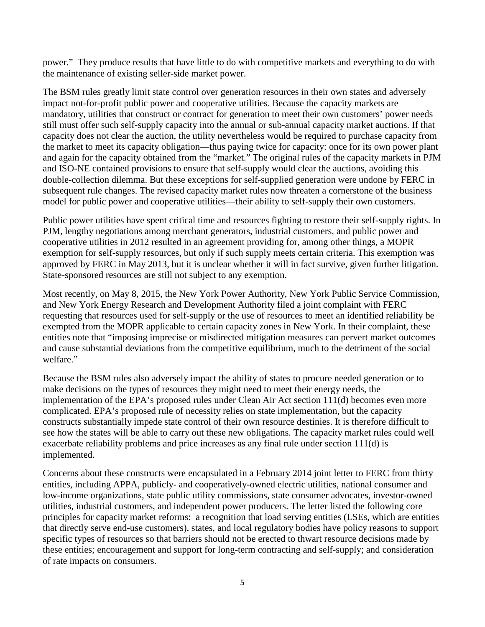power." They produce results that have little to do with competitive markets and everything to do with the maintenance of existing seller-side market power.

The BSM rules greatly limit state control over generation resources in their own states and adversely impact not-for-profit public power and cooperative utilities. Because the capacity markets are mandatory, utilities that construct or contract for generation to meet their own customers' power needs still must offer such self-supply capacity into the annual or sub-annual capacity market auctions. If that capacity does not clear the auction, the utility nevertheless would be required to purchase capacity from the market to meet its capacity obligation—thus paying twice for capacity: once for its own power plant and again for the capacity obtained from the "market." The original rules of the capacity markets in PJM and ISO-NE contained provisions to ensure that self-supply would clear the auctions, avoiding this double-collection dilemma. But these exceptions for self-supplied generation were undone by FERC in subsequent rule changes. The revised capacity market rules now threaten a cornerstone of the business model for public power and cooperative utilities—their ability to self-supply their own customers.

Public power utilities have spent critical time and resources fighting to restore their self-supply rights. In PJM, lengthy negotiations among merchant generators, industrial customers, and public power and cooperative utilities in 2012 resulted in an agreement providing for, among other things, a MOPR exemption for self-supply resources, but only if such supply meets certain criteria. This exemption was approved by FERC in May 2013, but it is unclear whether it will in fact survive, given further litigation. State-sponsored resources are still not subject to any exemption.

Most recently, on May 8, 2015, the New York Power Authority, New York Public Service Commission, and New York Energy Research and Development Authority filed a joint complaint with FERC requesting that resources used for self-supply or the use of resources to meet an identified reliability be exempted from the MOPR applicable to certain capacity zones in New York. In their complaint, these entities note that "imposing imprecise or misdirected mitigation measures can pervert market outcomes and cause substantial deviations from the competitive equilibrium, much to the detriment of the social welfare."

Because the BSM rules also adversely impact the ability of states to procure needed generation or to make decisions on the types of resources they might need to meet their energy needs, the implementation of the EPA's proposed rules under Clean Air Act section 111(d) becomes even more complicated. EPA's proposed rule of necessity relies on state implementation, but the capacity constructs substantially impede state control of their own resource destinies. It is therefore difficult to see how the states will be able to carry out these new obligations. The capacity market rules could well exacerbate reliability problems and price increases as any final rule under section 111(d) is implemented.

Concerns about these constructs were encapsulated in a February 2014 joint letter to FERC from thirty entities, including APPA, publicly- and cooperatively-owned electric utilities, national consumer and low-income organizations, state public utility commissions, state consumer advocates, investor-owned utilities, industrial customers, and independent power producers. The letter listed the following core principles for capacity market reforms: a recognition that load serving entities (LSEs, which are entities that directly serve end-use customers), states, and local regulatory bodies have policy reasons to support specific types of resources so that barriers should not be erected to thwart resource decisions made by these entities; encouragement and support for long-term contracting and self-supply; and consideration of rate impacts on consumers.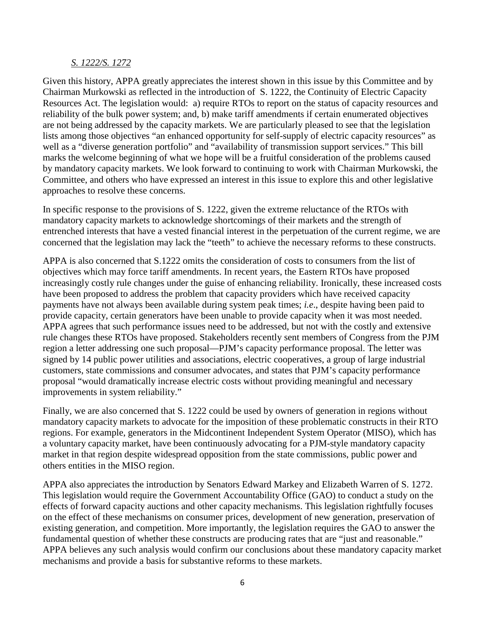#### *S. 1222/S. 1272*

Given this history, APPA greatly appreciates the interest shown in this issue by this Committee and by Chairman Murkowski as reflected in the introduction of S. 1222, the Continuity of Electric Capacity Resources Act. The legislation would: a) require RTOs to report on the status of capacity resources and reliability of the bulk power system; and, b) make tariff amendments if certain enumerated objectives are not being addressed by the capacity markets. We are particularly pleased to see that the legislation lists among those objectives "an enhanced opportunity for self-supply of electric capacity resources" as well as a "diverse generation portfolio" and "availability of transmission support services." This bill marks the welcome beginning of what we hope will be a fruitful consideration of the problems caused by mandatory capacity markets. We look forward to continuing to work with Chairman Murkowski, the Committee, and others who have expressed an interest in this issue to explore this and other legislative approaches to resolve these concerns.

In specific response to the provisions of S. 1222, given the extreme reluctance of the RTOs with mandatory capacity markets to acknowledge shortcomings of their markets and the strength of entrenched interests that have a vested financial interest in the perpetuation of the current regime, we are concerned that the legislation may lack the "teeth" to achieve the necessary reforms to these constructs.

APPA is also concerned that S.1222 omits the consideration of costs to consumers from the list of objectives which may force tariff amendments. In recent years, the Eastern RTOs have proposed increasingly costly rule changes under the guise of enhancing reliability. Ironically, these increased costs have been proposed to address the problem that capacity providers which have received capacity payments have not always been available during system peak times; *i.e*., despite having been paid to provide capacity, certain generators have been unable to provide capacity when it was most needed. APPA agrees that such performance issues need to be addressed, but not with the costly and extensive rule changes these RTOs have proposed. Stakeholders recently sent members of Congress from the PJM region a letter addressing one such proposal—PJM's capacity performance proposal. The letter was signed by 14 public power utilities and associations, electric cooperatives, a group of large industrial customers, state commissions and consumer advocates, and states that PJM's capacity performance proposal "would dramatically increase electric costs without providing meaningful and necessary improvements in system reliability."

Finally, we are also concerned that S. 1222 could be used by owners of generation in regions without mandatory capacity markets to advocate for the imposition of these problematic constructs in their RTO regions. For example, generators in the Midcontinent Independent System Operator (MISO), which has a voluntary capacity market, have been continuously advocating for a PJM-style mandatory capacity market in that region despite widespread opposition from the state commissions, public power and others entities in the MISO region.

APPA also appreciates the introduction by Senators Edward Markey and Elizabeth Warren of S. 1272. This legislation would require the Government Accountability Office (GAO) to conduct a study on the effects of forward capacity auctions and other capacity mechanisms. This legislation rightfully focuses on the effect of these mechanisms on consumer prices, development of new generation, preservation of existing generation, and competition. More importantly, the legislation requires the GAO to answer the fundamental question of whether these constructs are producing rates that are "just and reasonable." APPA believes any such analysis would confirm our conclusions about these mandatory capacity market mechanisms and provide a basis for substantive reforms to these markets.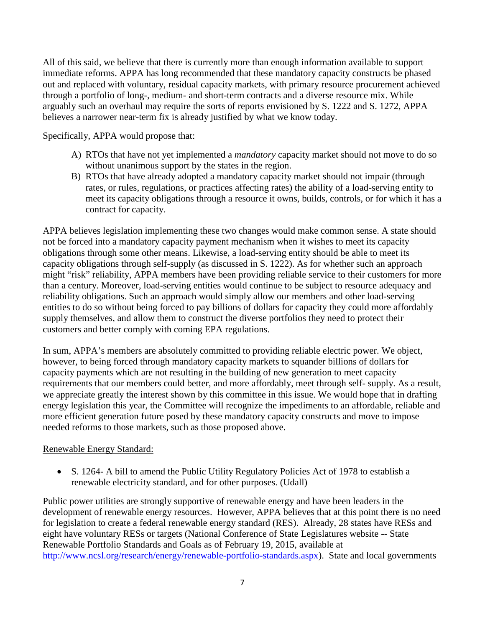All of this said, we believe that there is currently more than enough information available to support immediate reforms. APPA has long recommended that these mandatory capacity constructs be phased out and replaced with voluntary, residual capacity markets, with primary resource procurement achieved through a portfolio of long-, medium- and short-term contracts and a diverse resource mix. While arguably such an overhaul may require the sorts of reports envisioned by S. 1222 and S. 1272, APPA believes a narrower near-term fix is already justified by what we know today.

Specifically, APPA would propose that:

- A) RTOs that have not yet implemented a *mandatory* capacity market should not move to do so without unanimous support by the states in the region.
- B) RTOs that have already adopted a mandatory capacity market should not impair (through rates, or rules, regulations, or practices affecting rates) the ability of a load-serving entity to meet its capacity obligations through a resource it owns, builds, controls, or for which it has a contract for capacity.

APPA believes legislation implementing these two changes would make common sense. A state should not be forced into a mandatory capacity payment mechanism when it wishes to meet its capacity obligations through some other means. Likewise, a load-serving entity should be able to meet its capacity obligations through self-supply (as discussed in S. 1222). As for whether such an approach might "risk" reliability, APPA members have been providing reliable service to their customers for more than a century. Moreover, load-serving entities would continue to be subject to resource adequacy and reliability obligations. Such an approach would simply allow our members and other load-serving entities to do so without being forced to pay billions of dollars for capacity they could more affordably supply themselves, and allow them to construct the diverse portfolios they need to protect their customers and better comply with coming EPA regulations.

In sum, APPA's members are absolutely committed to providing reliable electric power. We object, however, to being forced through mandatory capacity markets to squander billions of dollars for capacity payments which are not resulting in the building of new generation to meet capacity requirements that our members could better, and more affordably, meet through self- supply. As a result, we appreciate greatly the interest shown by this committee in this issue. We would hope that in drafting energy legislation this year, the Committee will recognize the impediments to an affordable, reliable and more efficient generation future posed by these mandatory capacity constructs and move to impose needed reforms to those markets, such as those proposed above.

## Renewable Energy Standard:

• S. 1264- A bill to amend the Public Utility Regulatory Policies Act of 1978 to establish a renewable electricity standard, and for other purposes. (Udall)

Public power utilities are strongly supportive of renewable energy and have been leaders in the development of renewable energy resources. However, APPA believes that at this point there is no need for legislation to create a federal renewable energy standard (RES). Already, 28 states have RESs and eight have voluntary RESs or targets (National Conference of State Legislatures website -- State Renewable Portfolio Standards and Goals as of February 19, 2015, available at [http://www.ncsl.org/research/energy/renewable-portfolio-standards.aspx\)](http://www.ncsl.org/research/energy/renewable-portfolio-standards.aspx). State and local governments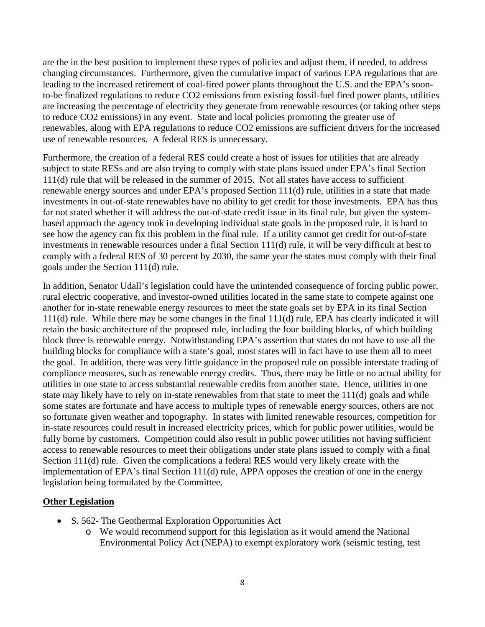are the in the best position to implement these types of policies and adjust them, if needed, to address changing circumstances. Furthermore, given the cumulative impact of various EPA regulations that are leading to the increased retirement of coal-fired power plants throughout the U.S. and the EPA's soonto-be finalized regulations to reduce CO2 emissions from existing fossil-fuel fired power plants, utilities are increasing the percentage of electricity they generate from renewable resources (or taking other steps to reduce CO2 emissions) in any event. State and local policies promoting the greater use of renewables, along with EPA regulations to reduce CO2 emissions are sufficient drivers for the increased use of renewable resources. A federal RES is unnecessary.

Furthermore, the creation of a federal RES could create a host of issues for utilities that are already subject to state RESs and are also trying to comply with state plans issued under EPA's final Section 111(d) rule that will be released in the summer of 2015. Not all states have access to sufficient renewable energy sources and under EPA's proposed Section 111(d) rule, utilities in a state that made investments in out-of-state renewables have no ability to get credit for those investments. EPA has thus far not stated whether it will address the out-of-state credit issue in its final rule, but given the systembased approach the agency took in developing individual state goals in the proposed rule, it is hard to see how the agency can fix this problem in the final rule. If a utility cannot get credit for out-of-state investments in renewable resources under a final Section 111(d) rule, it will be very difficult at best to comply with a federal RES of 30 percent by 2030, the same year the states must comply with their final goals under the Section 111(d) rule.

In addition, Senator Udall's legislation could have the unintended consequence of forcing public power, rural electric cooperative, and investor-owned utilities located in the same state to compete against one another for in-state renewable energy resources to meet the state goals set by EPA in its final Section 111(d) rule. While there may be some changes in the final 111(d) rule, EPA has clearly indicated it will retain the basic architecture of the proposed rule, including the four building blocks, of which building block three is renewable energy. Notwithstanding EPA's assertion that states do not have to use all the building blocks for compliance with a state's goal, most states will in fact have to use them all to meet the goal. In addition, there was very little guidance in the proposed rule on possible interstate trading of compliance measures, such as renewable energy credits. Thus, there may be little or no actual ability for utilities in one state to access substantial renewable credits from another state. Hence, utilities in one state may likely have to rely on in-state renewables from that state to meet the 111(d) goals and while some states are fortunate and have access to multiple types of renewable energy sources, others are not so fortunate given weather and topography. In states with limited renewable resources, competition for in-state resources could result in increased electricity prices, which for public power utilities, would be fully borne by customers. Competition could also result in public power utilities not having sufficient access to renewable resources to meet their obligations under state plans issued to comply with a final Section 111(d) rule. Given the complications a federal RES would very likely create with the implementation of EPA's final Section 111(d) rule, APPA opposes the creation of one in the energy legislation being formulated by the Committee.

## **Other Legislation**

- S. 562- The Geothermal Exploration Opportunities Act
	- o We would recommend support for this legislation as it would amend the National Environmental Policy Act (NEPA) to exempt exploratory work (seismic testing, test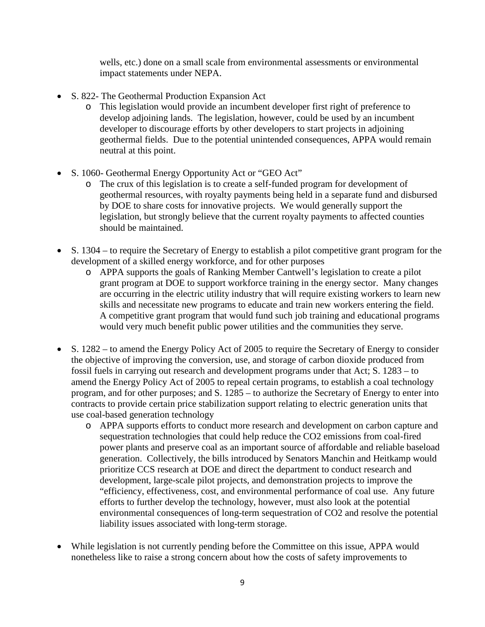wells, etc.) done on a small scale from environmental assessments or environmental impact statements under NEPA.

- S. 822- The Geothermal Production Expansion Act
	- o This legislation would provide an incumbent developer first right of preference to develop adjoining lands. The legislation, however, could be used by an incumbent developer to discourage efforts by other developers to start projects in adjoining geothermal fields. Due to the potential unintended consequences, APPA would remain neutral at this point.
- S. 1060- Geothermal Energy Opportunity Act or "GEO Act"
	- o The crux of this legislation is to create a self-funded program for development of geothermal resources, with royalty payments being held in a separate fund and disbursed by DOE to share costs for innovative projects. We would generally support the legislation, but strongly believe that the current royalty payments to affected counties should be maintained.
- S. 1304 to require the Secretary of Energy to establish a pilot competitive grant program for the development of a skilled energy workforce, and for other purposes
	- o APPA supports the goals of Ranking Member Cantwell's legislation to create a pilot grant program at DOE to support workforce training in the energy sector. Many changes are occurring in the electric utility industry that will require existing workers to learn new skills and necessitate new programs to educate and train new workers entering the field. A competitive grant program that would fund such job training and educational programs would very much benefit public power utilities and the communities they serve.
- S. 1282 to amend the Energy Policy Act of 2005 to require the Secretary of Energy to consider the objective of improving the conversion, use, and storage of carbon dioxide produced from fossil fuels in carrying out research and development programs under that Act; S. 1283 – to amend the Energy Policy Act of 2005 to repeal certain programs, to establish a coal technology program, and for other purposes; and S. 1285 – to authorize the Secretary of Energy to enter into contracts to provide certain price stabilization support relating to electric generation units that use coal-based generation technology
	- o APPA supports efforts to conduct more research and development on carbon capture and sequestration technologies that could help reduce the CO2 emissions from coal-fired power plants and preserve coal as an important source of affordable and reliable baseload generation. Collectively, the bills introduced by Senators Manchin and Heitkamp would prioritize CCS research at DOE and direct the department to conduct research and development, large-scale pilot projects, and demonstration projects to improve the "efficiency, effectiveness, cost, and environmental performance of coal use. Any future efforts to further develop the technology, however, must also look at the potential environmental consequences of long-term sequestration of CO2 and resolve the potential liability issues associated with long-term storage.
- While legislation is not currently pending before the Committee on this issue, APPA would nonetheless like to raise a strong concern about how the costs of safety improvements to